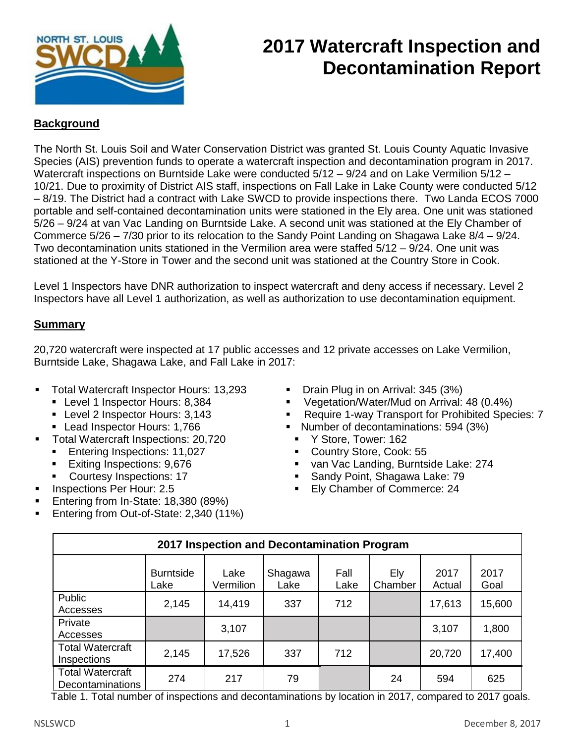

## **2017 Watercraft Inspection and Decontamination Report**

## **Background**

The North St. Louis Soil and Water Conservation District was granted St. Louis County Aquatic Invasive Species (AIS) prevention funds to operate a watercraft inspection and decontamination program in 2017. Watercraft inspections on Burntside Lake were conducted 5/12 – 9/24 and on Lake Vermilion 5/12 – 10/21. Due to proximity of District AIS staff, inspections on Fall Lake in Lake County were conducted 5/12 – 8/19. The District had a contract with Lake SWCD to provide inspections there. Two Landa ECOS 7000 portable and self-contained decontamination units were stationed in the Ely area. One unit was stationed 5/26 – 9/24 at van Vac Landing on Burntside Lake. A second unit was stationed at the Ely Chamber of Commerce 5/26 – 7/30 prior to its relocation to the Sandy Point Landing on Shagawa Lake 8/4 – 9/24. Two decontamination units stationed in the Vermilion area were staffed 5/12 – 9/24. One unit was stationed at the Y-Store in Tower and the second unit was stationed at the Country Store in Cook.

Level 1 Inspectors have DNR authorization to inspect watercraft and deny access if necessary. Level 2 Inspectors have all Level 1 authorization, as well as authorization to use decontamination equipment.

## **Summary**

20,720 watercraft were inspected at 17 public accesses and 12 private accesses on Lake Vermilion, Burntside Lake, Shagawa Lake, and Fall Lake in 2017:

- Total Watercraft Inspector Hours: 13,293 Drain Plug in on Arrival: 345 (3%)
	-
	- Level 2 Inspector Hours: 3,143
	- Lead Inspector Hours: 1,766
- Total Watercraft Inspections: 20.720 Y Store, Tower: 162
	- Entering Inspections: 11,027 Country Store, Cook: 55
	-
	-
- Inspections Per Hour: 2.5
- Entering from In-State: 18,380 (89%)
- Entering from Out-of-State: 2,340 (11%)
- 
- Level 1 Inspector Hours: 8,384 Vegetation/Water/Mud on Arrival: 48 (0.4%)
	- Require 1-way Transport for Prohibited Species: 7
	- Number of decontaminations: 594 (3%)
		-
		-
- Exiting Inspections: 9,676 <br>■ Courtesy Inspections: 17  **Propertions: 17** Sandy Point, Shaqawa Lake: 79
- Courtesy Inspections: 17 **■** Sandy Point, Shagawa Lake: 79
	- **Ely Chamber of Commerce: 24**

| 2017 Inspection and Decontamination Program                        |                          |                     |                                      |                               |                            |                |                                        |  |  |  |
|--------------------------------------------------------------------|--------------------------|---------------------|--------------------------------------|-------------------------------|----------------------------|----------------|----------------------------------------|--|--|--|
|                                                                    | <b>Burntside</b><br>Lake | Lake<br>Vermilion   | Shagawa<br>Lake                      | Fall<br>Lake                  | Ely<br>Chamber             | 2017<br>Actual | 2017<br>Goal                           |  |  |  |
| Public<br>Accesses                                                 | 2,145                    | 14,419              | 337                                  | 712                           |                            | 17,613         | 15,600                                 |  |  |  |
| Private<br>Accesses                                                |                          | 3,107               |                                      |                               |                            | 3,107          | 1,800                                  |  |  |  |
| <b>Total Watercraft</b><br>Inspections                             | 2,145                    | 17,526              | 337                                  | 712                           |                            | 20,720         | 17,400                                 |  |  |  |
| <b>Total Watercraft</b><br><b>Decontaminations</b><br>— <i>.</i> — | 274<br>$\epsilon$ .<br>. | 217<br>$\mathbf{r}$ | 79<br>$\sim$ $\sim$<br>$\sim$ $\sim$ | $\mathbf{r}$ and $\mathbf{r}$ | 24<br>$\sim$ $\sim$ $\sim$ | 594            | 625<br>$\cdots$ $\sim$ $\sim$ $\cdots$ |  |  |  |

Table 1. Total number of inspections and decontaminations by location in 2017, compared to 2017 goals.